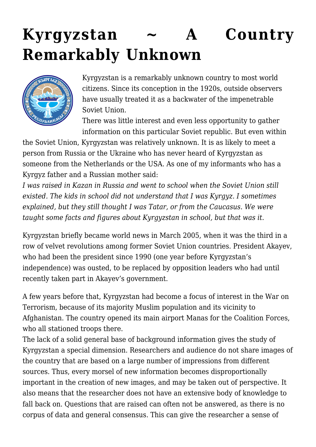# **[Kyrgyzstan ~ A Country](https://rozenbergquarterly.com/kyrgyzstan-a-country-remarkably-unknown/) [Remarkably Unknown](https://rozenbergquarterly.com/kyrgyzstan-a-country-remarkably-unknown/)**



Kyrgyzstan is a remarkably unknown country to most world citizens. Since its conception in the 1920s, outside observers have usually treated it as a backwater of the impenetrable Soviet Union.

There was little interest and even less opportunity to gather information on this particular Soviet republic. But even within

the Soviet Union, Kyrgyzstan was relatively unknown. It is as likely to meet a person from Russia or the Ukraine who has never heard of Kyrgyzstan as someone from the Netherlands or the USA. As one of my informants who has a Kyrgyz father and a Russian mother said:

*I was raised in Kazan in Russia and went to school when the Soviet Union still existed. The kids in school did not understand that I was Kyrgyz. I sometimes explained, but they still thought I was Tatar, or from the Caucasus. We were taught some facts and figures about Kyrgyzstan in school, but that was it.*

Kyrgyzstan briefly became world news in March 2005, when it was the third in a row of velvet revolutions among former Soviet Union countries. President Akayev, who had been the president since 1990 (one year before Kyrgyzstan's independence) was ousted, to be replaced by opposition leaders who had until recently taken part in Akayev's government.

A few years before that, Kyrgyzstan had become a focus of interest in the War on Terrorism, because of its majority Muslim population and its vicinity to Afghanistan. The country opened its main airport Manas for the Coalition Forces, who all stationed troops there.

The lack of a solid general base of background information gives the study of Kyrgyzstan a special dimension. Researchers and audience do not share images of the country that are based on a large number of impressions from different sources. Thus, every morsel of new information becomes disproportionally important in the creation of new images, and may be taken out of perspective. It also means that the researcher does not have an extensive body of knowledge to fall back on. Questions that are raised can often not be answered, as there is no corpus of data and general consensus. This can give the researcher a sense of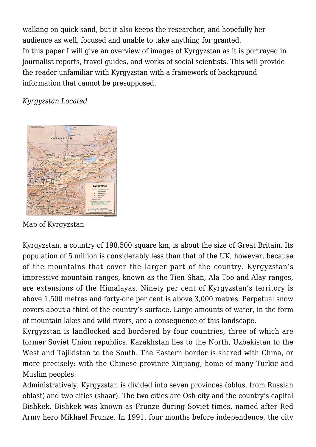walking on quick sand, but it also keeps the researcher, and hopefully her audience as well, focused and unable to take anything for granted. In this paper I will give an overview of images of Kyrgyzstan as it is portrayed in journalist reports, travel guides, and works of social scientists. This will provide the reader unfamiliar with Kyrgyzstan with a framework of background information that cannot be presupposed.

*Kyrgyzstan Located*



Map of Kyrgyzstan

Kyrgyzstan, a country of 198,500 square km, is about the size of Great Britain. Its population of 5 million is considerably less than that of the UK, however, because of the mountains that cover the larger part of the country. Kyrgyzstan's impressive mountain ranges, known as the Tien Shan, Ala Too and Alay ranges, are extensions of the Himalayas. Ninety per cent of Kyrgyzstan's territory is above 1,500 metres and forty-one per cent is above 3,000 metres. Perpetual snow covers about a third of the country's surface. Large amounts of water, in the form of mountain lakes and wild rivers, are a consequence of this landscape.

Kyrgyzstan is landlocked and bordered by four countries, three of which are former Soviet Union republics. Kazakhstan lies to the North, Uzbekistan to the West and Tajikistan to the South. The Eastern border is shared with China, or more precisely: with the Chinese province Xinjiang, home of many Turkic and Muslim peoples.

Administratively, Kyrgyzstan is divided into seven provinces (oblus, from Russian oblast) and two cities (shaar). The two cities are Osh city and the country's capital Bishkek. Bishkek was known as Frunze during Soviet times, named after Red Army hero Mikhael Frunze. In 1991, four months before independence, the city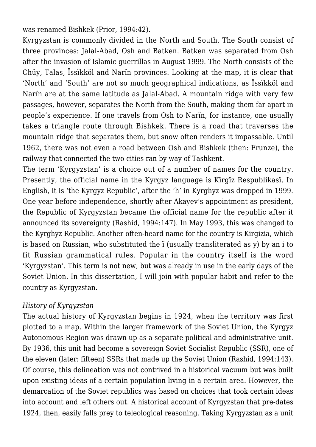was renamed Bishkek (Prior, 1994:42).

Kyrgyzstan is commonly divided in the North and South. The South consist of three provinces: Jalal-Abad, Osh and Batken. Batken was separated from Osh after the invasion of Islamic guerrillas in August 1999. The North consists of the Chüy, Talas, Ïssïkköl and Narïn provinces. Looking at the map, it is clear that 'North' and 'South' are not so much geographical indications, as Ïssïkköl and Narïn are at the same latitude as Jalal-Abad. A mountain ridge with very few passages, however, separates the North from the South, making them far apart in people's experience. If one travels from Osh to Narïn, for instance, one usually takes a triangle route through Bishkek. There is a road that traverses the mountain ridge that separates them, but snow often renders it impassable. Until 1962, there was not even a road between Osh and Bishkek (then: Frunze), the railway that connected the two cities ran by way of Tashkent.

The term 'Kyrgyzstan' is a choice out of a number of names for the country. Presently, the official name in the Kyrgyz language is Kïrgïz Respublikasï. In English, it is 'the Kyrgyz Republic', after the 'h' in Kyrghyz was dropped in 1999. One year before independence, shortly after Akayev's appointment as president, the Republic of Kyrgyzstan became the official name for the republic after it announced its sovereignty (Rashid, 1994:147). In May 1993, this was changed to the Kyrghyz Republic. Another often-heard name for the country is Kirgizia, which is based on Russian, who substituted the ï (usually transliterated as y) by an i to fit Russian grammatical rules. Popular in the country itself is the word 'Kyrgyzstan'. This term is not new, but was already in use in the early days of the Soviet Union. In this dissertation, I will join with popular habit and refer to the country as Kyrgyzstan.

#### *History of Kyrgyzstan*

The actual history of Kyrgyzstan begins in 1924, when the territory was first plotted to a map. Within the larger framework of the Soviet Union, the Kyrgyz Autonomous Region was drawn up as a separate political and administrative unit. By 1936, this unit had become a sovereign Soviet Socialist Republic (SSR), one of the eleven (later: fifteen) SSRs that made up the Soviet Union (Rashid, 1994:143). Of course, this delineation was not contrived in a historical vacuum but was built upon existing ideas of a certain population living in a certain area. However, the demarcation of the Soviet republics was based on choices that took certain ideas into account and left others out. A historical account of Kyrgyzstan that pre-dates 1924, then, easily falls prey to teleological reasoning. Taking Kyrgyzstan as a unit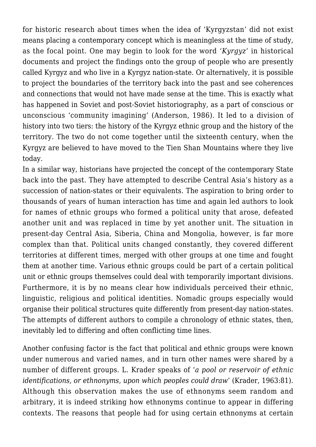for historic research about times when the idea of 'Kyrgyzstan' did not exist means placing a contemporary concept which is meaningless at the time of study, as the focal point. One may begin to look for the word *'Kyrgyz'* in historical documents and project the findings onto the group of people who are presently called Kyrgyz and who live in a Kyrgyz nation-state. Or alternatively, it is possible to project the boundaries of the territory back into the past and see coherences and connections that would not have made sense at the time. This is exactly what has happened in Soviet and post-Soviet historiography, as a part of conscious or unconscious 'community imagining' (Anderson, 1986). It led to a division of history into two tiers: the history of the Kyrgyz ethnic group and the history of the territory. The two do not come together until the sixteenth century, when the Kyrgyz are believed to have moved to the Tien Shan Mountains where they live today.

In a similar way, historians have projected the concept of the contemporary State back into the past. They have attempted to describe Central Asia's history as a succession of nation-states or their equivalents. The aspiration to bring order to thousands of years of human interaction has time and again led authors to look for names of ethnic groups who formed a political unity that arose, defeated another unit and was replaced in time by yet another unit. The situation in present-day Central Asia, Siberia, China and Mongolia, however, is far more complex than that. Political units changed constantly, they covered different territories at different times, merged with other groups at one time and fought them at another time. Various ethnic groups could be part of a certain political unit or ethnic groups themselves could deal with temporarily important divisions. Furthermore, it is by no means clear how individuals perceived their ethnic, linguistic, religious and political identities. Nomadic groups especially would organise their political structures quite differently from present-day nation-states. The attempts of different authors to compile a chronology of ethnic states, then, inevitably led to differing and often conflicting time lines.

Another confusing factor is the fact that political and ethnic groups were known under numerous and varied names, and in turn other names were shared by a number of different groups. L. Krader speaks of '*a pool or reservoir of ethnic identifications, or ethnonyms, upon which peoples could draw*' (Krader, 1963:81). Although this observation makes the use of ethnonyms seem random and arbitrary, it is indeed striking how ethnonyms continue to appear in differing contexts. The reasons that people had for using certain ethnonyms at certain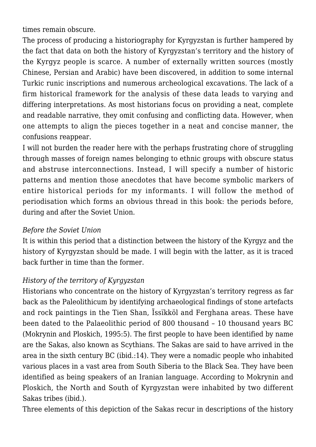times remain obscure.

The process of producing a historiography for Kyrgyzstan is further hampered by the fact that data on both the history of Kyrgyzstan's territory and the history of the Kyrgyz people is scarce. A number of externally written sources (mostly Chinese, Persian and Arabic) have been discovered, in addition to some internal Turkic runic inscriptions and numerous archeological excavations. The lack of a firm historical framework for the analysis of these data leads to varying and differing interpretations. As most historians focus on providing a neat, complete and readable narrative, they omit confusing and conflicting data. However, when one attempts to align the pieces together in a neat and concise manner, the confusions reappear.

I will not burden the reader here with the perhaps frustrating chore of struggling through masses of foreign names belonging to ethnic groups with obscure status and abstruse interconnections. Instead, I will specify a number of historic patterns and mention those anecdotes that have become symbolic markers of entire historical periods for my informants. I will follow the method of periodisation which forms an obvious thread in this book: the periods before, during and after the Soviet Union.

## *Before the Soviet Union*

It is within this period that a distinction between the history of the Kyrgyz and the history of Kyrgyzstan should be made. I will begin with the latter, as it is traced back further in time than the former.

## *History of the territory of Kyrgyzstan*

Historians who concentrate on the history of Kyrgyzstan's territory regress as far back as the Paleolithicum by identifying archaeological findings of stone artefacts and rock paintings in the Tien Shan, Ïssïkköl and Ferghana areas. These have been dated to the Palaeolithic period of 800 thousand – 10 thousand years BC (Mokrynin and Ploskich, 1995:5). The first people to have been identified by name are the Sakas, also known as Scythians. The Sakas are said to have arrived in the area in the sixth century BC (ibid.:14). They were a nomadic people who inhabited various places in a vast area from South Siberia to the Black Sea. They have been identified as being speakers of an Iranian language. According to Mokrynin and Ploskich, the North and South of Kyrgyzstan were inhabited by two different Sakas tribes (ibid.).

Three elements of this depiction of the Sakas recur in descriptions of the history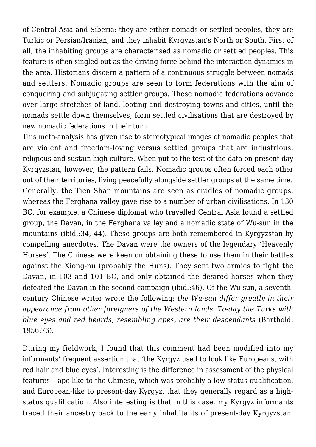of Central Asia and Siberia: they are either nomads or settled peoples, they are Turkic or Persian/Iranian, and they inhabit Kyrgyzstan's North or South. First of all, the inhabiting groups are characterised as nomadic or settled peoples. This feature is often singled out as the driving force behind the interaction dynamics in the area. Historians discern a pattern of a continuous struggle between nomads and settlers. Nomadic groups are seen to form federations with the aim of conquering and subjugating settler groups. These nomadic federations advance over large stretches of land, looting and destroying towns and cities, until the nomads settle down themselves, form settled civilisations that are destroyed by new nomadic federations in their turn.

This meta-analysis has given rise to stereotypical images of nomadic peoples that are violent and freedom-loving versus settled groups that are industrious, religious and sustain high culture. When put to the test of the data on present-day Kyrgyzstan, however, the pattern fails. Nomadic groups often forced each other out of their territories, living peacefully alongside settler groups at the same time. Generally, the Tien Shan mountains are seen as cradles of nomadic groups, whereas the Ferghana valley gave rise to a number of urban civilisations. In 130 BC, for example, a Chinese diplomat who travelled Central Asia found a settled group, the Davan, in the Ferghana valley and a nomadic state of Wu-sun in the mountains (ibid.:34, 44). These groups are both remembered in Kyrgyzstan by compelling anecdotes. The Davan were the owners of the legendary 'Heavenly Horses'. The Chinese were keen on obtaining these to use them in their battles against the Xiong-nu (probably the Huns). They sent two armies to fight the Davan, in 103 and 101 BC, and only obtained the desired horses when they defeated the Davan in the second campaign (ibid.:46). Of the Wu-sun, a seventhcentury Chinese writer wrote the following: *the Wu-sun differ greatly in their appearance from other foreigners of the Western lands. To-day the Turks with blue eyes and red beards, resembling apes, are their descendants* (Barthold, 1956:76).

During my fieldwork, I found that this comment had been modified into my informants' frequent assertion that 'the Kyrgyz used to look like Europeans, with red hair and blue eyes'. Interesting is the difference in assessment of the physical features – ape-like to the Chinese, which was probably a low-status qualification, and European-like to present-day Kyrgyz, that they generally regard as a highstatus qualification. Also interesting is that in this case, my Kyrgyz informants traced their ancestry back to the early inhabitants of present-day Kyrgyzstan.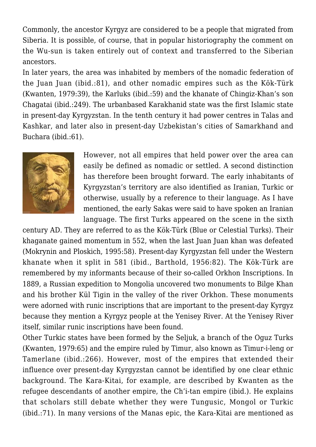Commonly, the ancestor Kyrgyz are considered to be a people that migrated from Siberia. It is possible, of course, that in popular historiography the comment on the Wu-sun is taken entirely out of context and transferred to the Siberian ancestors.

In later years, the area was inhabited by members of the nomadic federation of the Juan Juan (ibid.:81), and other nomadic empires such as the Kök-Türk (Kwanten, 1979:39), the Karluks (ibid.:59) and the khanate of Chingiz-Khan's son Chagatai (ibid.:249). The urbanbased Karakhanid state was the first Islamic state in present-day Kyrgyzstan. In the tenth century it had power centres in Talas and Kashkar, and later also in present-day Uzbekistan's cities of Samarkhand and Buchara (ibid.:61).



However, not all empires that held power over the area can easily be defined as nomadic or settled. A second distinction has therefore been brought forward. The early inhabitants of Kyrgyzstan's territory are also identified as Iranian, Turkic or otherwise, usually by a reference to their language. As I have mentioned, the early Sakas were said to have spoken an Iranian language. The first Turks appeared on the scene in the sixth

century AD. They are referred to as the Kök-Türk (Blue or Celestial Turks). Their khaganate gained momentum in 552, when the last Juan Juan khan was defeated (Mokrynin and Ploskich, 1995:58). Present-day Kyrgyzstan fell under the Western khanate when it split in 581 (ibid., Barthold, 1956:82). The Kök-Türk are remembered by my informants because of their so-called Orkhon Inscriptions. In 1889, a Russian expedition to Mongolia uncovered two monuments to Bilge Khan and his brother Kül Tigin in the valley of the river Orkhon. These monuments were adorned with runic inscriptions that are important to the present-day Kyrgyz because they mention a Kyrgyz people at the Yenisey River. At the Yenisey River itself, similar runic inscriptions have been found.

Other Turkic states have been formed by the Seljuk, a branch of the Oguz Turks (Kwanten, 1979:65) and the empire ruled by Timur, also known as Timur-i-leng or Tamerlane (ibid.:266). However, most of the empires that extended their influence over present-day Kyrgyzstan cannot be identified by one clear ethnic background. The Kara-Kitai, for example, are described by Kwanten as the refugee descendants of another empire, the Ch'i-tan empire (ibid.). He explains that scholars still debate whether they were Tungusic, Mongol or Turkic (ibid.:71). In many versions of the Manas epic, the Kara-Kitai are mentioned as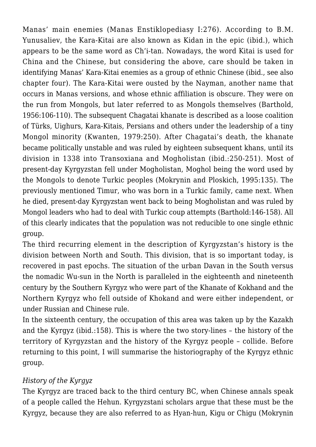Manas' main enemies (Manas Enstiklopediasy I:276). According to B.M. Yunusaliev, the Kara-Kitai are also known as Kidan in the epic (ibid.), which appears to be the same word as Ch'i-tan. Nowadays, the word Kitai is used for China and the Chinese, but considering the above, care should be taken in identifying Manas' Kara-Kitai enemies as a group of ethnic Chinese (ibid., see also chapter four). The Kara-Kitai were ousted by the Nayman, another name that occurs in Manas versions, and whose ethnic affiliation is obscure. They were on the run from Mongols, but later referred to as Mongols themselves (Barthold, 1956:106-110). The subsequent Chagatai khanate is described as a loose coalition of Türks, Uighurs, Kara-Kitais, Persians and others under the leadership of a tiny Mongol minority (Kwanten, 1979:250). After Chagatai's death, the khanate became politically unstable and was ruled by eighteen subsequent khans, until its division in 1338 into Transoxiana and Mogholistan (ibid.:250-251). Most of present-day Kyrgyzstan fell under Mogholistan, Moghol being the word used by the Mongols to denote Turkic peoples (Mokrynin and Ploskich, 1995:135). The previously mentioned Timur, who was born in a Turkic family, came next. When he died, present-day Kyrgyzstan went back to being Mogholistan and was ruled by Mongol leaders who had to deal with Turkic coup attempts (Barthold:146-158). All of this clearly indicates that the population was not reducible to one single ethnic group.

The third recurring element in the description of Kyrgyzstan's history is the division between North and South. This division, that is so important today, is recovered in past epochs. The situation of the urban Davan in the South versus the nomadic Wu-sun in the North is paralleled in the eighteenth and nineteenth century by the Southern Kyrgyz who were part of the Khanate of Kokhand and the Northern Kyrgyz who fell outside of Khokand and were either independent, or under Russian and Chinese rule.

In the sixteenth century, the occupation of this area was taken up by the Kazakh and the Kyrgyz (ibid.:158). This is where the two story-lines – the history of the territory of Kyrgyzstan and the history of the Kyrgyz people – collide. Before returning to this point, I will summarise the historiography of the Kyrgyz ethnic group.

## *History of the Kyrgyz*

The Kyrgyz are traced back to the third century BC, when Chinese annals speak of a people called the Hehun. Kyrgyzstani scholars argue that these must be the Kyrgyz, because they are also referred to as Hyan-hun, Kigu or Chigu (Mokrynin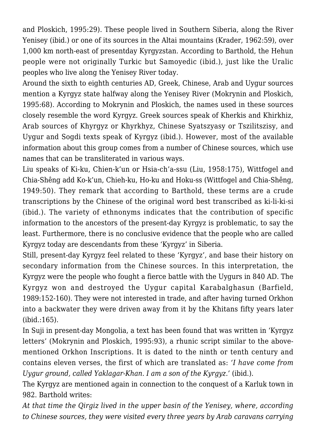and Ploskich, 1995:29). These people lived in Southern Siberia, along the River Yenisey (ibid.) or one of its sources in the Altai mountains (Krader, 1962:59), over 1,000 km north-east of presentday Kyrgyzstan. According to Barthold, the Hehun people were not originally Turkic but Samoyedic (ibid.), just like the Uralic peoples who live along the Yenisey River today.

Around the sixth to eighth centuries AD, Greek, Chinese, Arab and Uygur sources mention a Kyrgyz state halfway along the Yenisey River (Mokrynin and Ploskich, 1995:68). According to Mokrynin and Ploskich, the names used in these sources closely resemble the word Kyrgyz. Greek sources speak of Kherkis and Khirkhiz, Arab sources of Khyrgyz or Khyrkhyz, Chinese Syatszyasy or Tszilitszisy, and Uygur and Sogdi texts speak of Kyrgyz (ibid.). However, most of the available information about this group comes from a number of Chinese sources, which use names that can be transliterated in various ways.

Liu speaks of Ki-ku, Chien-k'un or Hsia-ch'a-ssu (Liu, 1958:175), Wittfogel and Chia-Shêng add Ko-k'un, Chieh-ku, Ho-ku and Hoku-ss (Wittfogel and Chia-Shêng, 1949:50). They remark that according to Barthold, these terms are a crude transcriptions by the Chinese of the original word best transcribed as ki-li-ki-si (ibid.). The variety of ethnonyms indicates that the contribution of specific information to the ancestors of the present-day Kyrgyz is problematic, to say the least. Furthermore, there is no conclusive evidence that the people who are called Kyrgyz today are descendants from these 'Kyrgyz' in Siberia.

Still, present-day Kyrgyz feel related to these 'Kyrgyz', and base their history on secondary information from the Chinese sources. In this interpretation, the Kyrgyz were the people who fought a fierce battle with the Uygurs in 840 AD. The Kyrgyz won and destroyed the Uygur capital Karabalghasun (Barfield, 1989:152-160). They were not interested in trade, and after having turned Orkhon into a backwater they were driven away from it by the Khitans fifty years later (ibid.:165).

In Suji in present-day Mongolia, a text has been found that was written in 'Kyrgyz letters' (Mokrynin and Ploskich, 1995:93), a rhunic script similar to the abovementioned Orkhon Inscriptions. It is dated to the ninth or tenth century and contains eleven verses, the first of which are translated as: *'I have come from Uygur ground, called Yaklagar-Khan. I am a son of the Kyrgyz.'* (ibid.).

The Kyrgyz are mentioned again in connection to the conquest of a Karluk town in 982. Barthold writes:

*At that time the Qirgiz lived in the upper basin of the Yenisey, where, according to Chinese sources, they were visited every three years by Arab caravans carrying*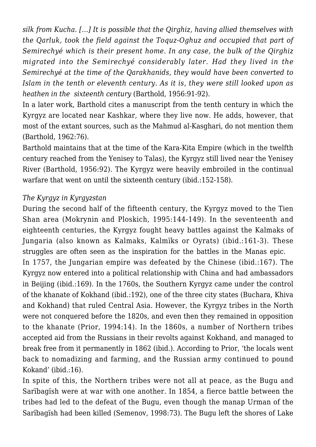*silk from Kucha. […] It is possible that the Qirghiz, having allied themselves with the Qarluk, took the field against the Toquz-Oghuz and occupied that part of Semirechyé which is their present home. In any case, the bulk of the Qirghiz migrated into the Semirechyé considerably later. Had they lived in the Semirechyé at the time of the Qarakhanids, they would have been converted to Islam in the tenth or eleventh century. As it is, they were still looked upon as heathen in the sixteenth century* (Barthold, 1956:91-92).

In a later work, Barthold cites a manuscript from the tenth century in which the Kyrgyz are located near Kashkar, where they live now. He adds, however, that most of the extant sources, such as the Mahmud al-Kasghari, do not mention them (Barthold, 1962:76).

Barthold maintains that at the time of the Kara-Kita Empire (which in the twelfth century reached from the Yenisey to Talas), the Kyrgyz still lived near the Yenisey River (Barthold, 1956:92). The Kyrgyz were heavily embroiled in the continual warfare that went on until the sixteenth century (ibid.:152-158).

## *The Kyrgyz in Kyrgyzstan*

During the second half of the fifteenth century, the Kyrgyz moved to the Tien Shan area (Mokrynin and Ploskich, 1995:144-149). In the seventeenth and eighteenth centuries, the Kyrgyz fought heavy battles against the Kalmaks of Jungaria (also known as Kalmaks, Kalmïks or Oyrats) (ibid.:161-3). These struggles are often seen as the inspiration for the battles in the Manas epic. In 1757, the Jungarian empire was defeated by the Chinese (ibid.:167). The Kyrgyz now entered into a political relationship with China and had ambassadors in Beijing (ibid.:169). In the 1760s, the Southern Kyrgyz came under the control of the khanate of Kokhand (ibid.:192), one of the three city states (Buchara, Khiva and Kokhand) that ruled Central Asia. However, the Kyrgyz tribes in the North were not conquered before the 1820s, and even then they remained in opposition

to the khanate (Prior, 1994:14). In the 1860s, a number of Northern tribes accepted aid from the Russians in their revolts against Kokhand, and managed to break free from it permanently in 1862 (ibid.). According to Prior, 'the locals went back to nomadizing and farming, and the Russian army continued to pound Kokand' (ibid.:16).

In spite of this, the Northern tribes were not all at peace, as the Bugu and Sarïbagïsh were at war with one another. In 1854, a fierce battle between the tribes had led to the defeat of the Bugu, even though the manap Urman of the Sarïbagïsh had been killed (Semenov, 1998:73). The Bugu left the shores of Lake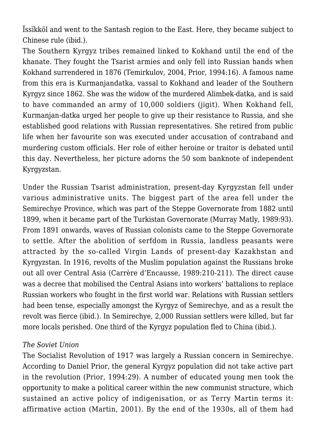Ïssïkköl and went to the Santash region to the East. Here, they became subject to Chinese rule (ibid.).

The Southern Kyrgyz tribes remained linked to Kokhand until the end of the khanate. They fought the Tsarist armies and only fell into Russian hands when Kokhand surrendered in 1876 (Temirkulov, 2004, Prior, 1994:16). A famous name from this era is Kurmanjandatka, vassal to Kokhand and leader of the Southern Kyrgyz since 1862. She was the widow of the murdered Alimbek-datka, and is said to have commanded an army of 10,000 soldiers (jigit). When Kokhand fell, Kurmanjan-datka urged her people to give up their resistance to Russia, and she established good relations with Russian representatives. She retired from public life when her favourite son was executed under accusation of contraband and murdering custom officials. Her role of either heroine or traitor is debated until this day. Nevertheless, her picture adorns the 50 som banknote of independent Kyrgyzstan.

Under the Russian Tsarist administration, present-day Kyrgyzstan fell under various administrative units. The biggest part of the area fell under the Semirechye Province, which was part of the Steppe Governorate from 1882 until 1899, when it became part of the Turkistan Governorate (Murray Matly, 1989:93). From 1891 onwards, waves of Russian colonists came to the Steppe Governorate to settle. After the abolition of serfdom in Russia, landless peasants were attracted by the so-called Virgin Lands of present-day Kazakhstan and Kyrgyzstan. In 1916, revolts of the Muslim population against the Russians broke out all over Central Asia (Carrère d'Encausse, 1989:210-211). The direct cause was a decree that mobilised the Central Asians into workers' battalions to replace Russian workers who fought in the first world war. Relations with Russian settlers had been tense, especially amongst the Kyrgyz of Semirechye, and as a result the revolt was fierce (ibid.). In Semirechye, 2,000 Russian settlers were killed, but far more locals perished. One third of the Kyrgyz population fled to China (ibid.).

#### *The Soviet Union*

The Socialist Revolution of 1917 was largely a Russian concern in Semirechye. According to Daniel Prior, the general Kyrgyz population did not take active part in the revolution (Prior, 1994:29). A number of educated young men took the opportunity to make a political career within the new communist structure, which sustained an active policy of indigenisation, or as Terry Martin terms it: affirmative action (Martin, 2001). By the end of the 1930s, all of them had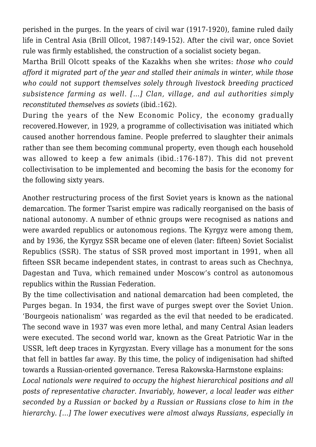perished in the purges. In the years of civil war (1917-1920), famine ruled daily life in Central Asia (Brill Ollcot, 1987:149-152). After the civil war, once Soviet rule was firmly established, the construction of a socialist society began.

Martha Brill Olcott speaks of the Kazakhs when she writes: *those who could afford it migrated part of the year and stalled their animals in winter, while those who could not support themselves solely through livestock breeding practiced subsistence farming as well. […] Clan, village, and aul authorities simply reconstituted themselves as soviets* (ibid.:162).

During the years of the New Economic Policy, the economy gradually recovered.However, in 1929, a programme of collectivisation was initiated which caused another horrendous famine. People preferred to slaughter their animals rather than see them becoming communal property, even though each household was allowed to keep a few animals (ibid.:176-187). This did not prevent collectivisation to be implemented and becoming the basis for the economy for the following sixty years.

Another restructuring process of the first Soviet years is known as the national demarcation. The former Tsarist empire was radically reorganised on the basis of national autonomy. A number of ethnic groups were recognised as nations and were awarded republics or autonomous regions. The Kyrgyz were among them, and by 1936, the Kyrgyz SSR became one of eleven (later: fifteen) Soviet Socialist Republics (SSR). The status of SSR proved most important in 1991, when all fifteen SSR became independent states, in contrast to areas such as Chechnya, Dagestan and Tuva, which remained under Moscow's control as autonomous republics within the Russian Federation.

By the time collectivisation and national demarcation had been completed, the Purges began. In 1934, the first wave of purges swept over the Soviet Union. 'Bourgeois nationalism' was regarded as the evil that needed to be eradicated. The second wave in 1937 was even more lethal, and many Central Asian leaders were executed. The second world war, known as the Great Patriotic War in the USSR, left deep traces in Kyrgyzstan. Every village has a monument for the sons that fell in battles far away. By this time, the policy of indigenisation had shifted towards a Russian-oriented governance. Teresa Rakowska-Harmstone explains:

*Local nationals were required to occupy the highest hierarchical positions and all posts of representative character. Invariably, however, a local leader was either seconded by a Russian or backed by a Russian or Russians close to him in the hierarchy. […] The lower executives were almost always Russians, especially in*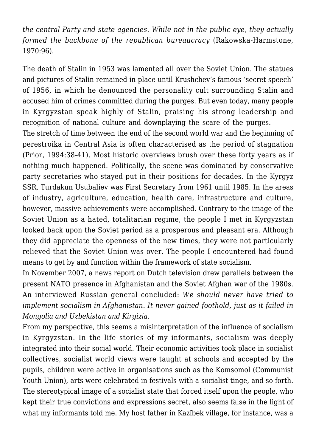*the central Party and state agencies. While not in the public eye, they actually formed the backbone of the republican bureaucracy* (Rakowska-Harmstone, 1970:96).

The death of Stalin in 1953 was lamented all over the Soviet Union. The statues and pictures of Stalin remained in place until Krushchev's famous 'secret speech' of 1956, in which he denounced the personality cult surrounding Stalin and accused him of crimes committed during the purges. But even today, many people in Kyrgyzstan speak highly of Stalin, praising his strong leadership and recognition of national culture and downplaying the scare of the purges.

The stretch of time between the end of the second world war and the beginning of perestroika in Central Asia is often characterised as the period of stagnation (Prior, 1994:38-41). Most historic overviews brush over these forty years as if nothing much happened. Politically, the scene was dominated by conservative party secretaries who stayed put in their positions for decades. In the Kyrgyz SSR, Turdakun Usubaliev was First Secretary from 1961 until 1985. In the areas of industry, agriculture, education, health care, infrastructure and culture, however, massive achievements were accomplished. Contrary to the image of the Soviet Union as a hated, totalitarian regime, the people I met in Kyrgyzstan looked back upon the Soviet period as a prosperous and pleasant era. Although they did appreciate the openness of the new times, they were not particularly relieved that the Soviet Union was over. The people I encountered had found means to get by and function within the framework of state socialism.

In November 2007, a news report on Dutch television drew parallels between the present NATO presence in Afghanistan and the Soviet Afghan war of the 1980s. An interviewed Russian general concluded: *We should never have tried to implement socialism in Afghanistan. It never gained foothold, just as it failed in Mongolia and Uzbekistan and Kirgizia.*

From my perspective, this seems a misinterpretation of the influence of socialism in Kyrgyzstan. In the life stories of my informants, socialism was deeply integrated into their social world. Their economic activities took place in socialist collectives, socialist world views were taught at schools and accepted by the pupils, children were active in organisations such as the Komsomol (Communist Youth Union), arts were celebrated in festivals with a socialist tinge, and so forth. The stereotypical image of a socialist state that forced itself upon the people, who kept their true convictions and expressions secret, also seems false in the light of what my informants told me. My host father in Kazïbek village, for instance, was a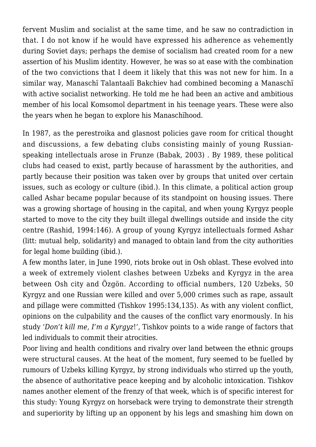fervent Muslim and socialist at the same time, and he saw no contradiction in that. I do not know if he would have expressed his adherence as vehemently during Soviet days; perhaps the demise of socialism had created room for a new assertion of his Muslim identity. However, he was so at ease with the combination of the two convictions that I deem it likely that this was not new for him. In a similar way, Manaschï Talantaalï Bakchiev had combined becoming a Manaschï with active socialist networking. He told me he had been an active and ambitious member of his local Komsomol department in his teenage years. These were also the years when he began to explore his Manaschïhood.

In 1987, as the perestroika and glasnost policies gave room for critical thought and discussions, a few debating clubs consisting mainly of young Russianspeaking intellectuals arose in Frunze (Babak, 2003) . By 1989, these political clubs had ceased to exist, partly because of harassment by the authorities, and partly because their position was taken over by groups that united over certain issues, such as ecology or culture (ibid.). In this climate, a political action group called Ashar became popular because of its standpoint on housing issues. There was a growing shortage of housing in the capital, and when young Kyrgyz people started to move to the city they built illegal dwellings outside and inside the city centre (Rashid, 1994:146). A group of young Kyrgyz intellectuals formed Ashar (litt: mutual help, solidarity) and managed to obtain land from the city authorities for legal home building (ibid.).

A few months later, in June 1990, riots broke out in Osh oblast. These evolved into a week of extremely violent clashes between Uzbeks and Kyrgyz in the area between Osh city and Özgön. According to official numbers, 120 Uzbeks, 50 Kyrgyz and one Russian were killed and over 5,000 crimes such as rape, assault and pillage were committed (Tishkov 1995:134,135). As with any violent conflict, opinions on the culpability and the causes of the conflict vary enormously. In his study '*Don't kill me, I'm a Kyrgyz*!', Tishkov points to a wide range of factors that led individuals to commit their atrocities.

Poor living and health conditions and rivalry over land between the ethnic groups were structural causes. At the heat of the moment, fury seemed to be fuelled by rumours of Uzbeks killing Kyrgyz, by strong individuals who stirred up the youth, the absence of authoritative peace keeping and by alcoholic intoxication. Tishkov names another element of the frenzy of that week, which is of specific interest for this study: Young Kyrgyz on horseback were trying to demonstrate their strength and superiority by lifting up an opponent by his legs and smashing him down on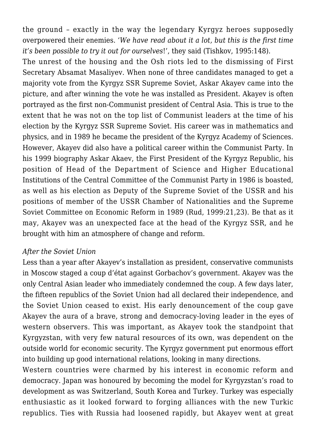the ground – exactly in the way the legendary Kyrgyz heroes supposedly overpowered their enemies. '*We have read about it a lot, but this is the first time it's been possible to try it out for ourselves*!', they said (Tishkov, 1995:148).

The unrest of the housing and the Osh riots led to the dismissing of First Secretary Absamat Masaliyev. When none of three candidates managed to get a majority vote from the Kyrgyz SSR Supreme Soviet, Askar Akayev came into the picture, and after winning the vote he was installed as President. Akayev is often portrayed as the first non-Communist president of Central Asia. This is true to the extent that he was not on the top list of Communist leaders at the time of his election by the Kyrgyz SSR Supreme Soviet. His career was in mathematics and physics, and in 1989 he became the president of the Kyrgyz Academy of Sciences. However, Akayev did also have a political career within the Communist Party. In his 1999 biography Askar Akaev, the First President of the Kyrgyz Republic, his position of Head of the Department of Science and Higher Educational Institutions of the Central Committee of the Communist Party in 1986 is boasted, as well as his election as Deputy of the Supreme Soviet of the USSR and his positions of member of the USSR Chamber of Nationalities and the Supreme Soviet Committee on Economic Reform in 1989 (Rud, 1999:21,23). Be that as it may, Akayev was an unexpected face at the head of the Kyrgyz SSR, and he brought with him an atmosphere of change and reform.

#### *After the Soviet Union*

Less than a year after Akayev's installation as president, conservative communists in Moscow staged a coup d'état against Gorbachov's government. Akayev was the only Central Asian leader who immediately condemned the coup. A few days later, the fifteen republics of the Soviet Union had all declared their independence, and the Soviet Union ceased to exist. His early denouncement of the coup gave Akayev the aura of a brave, strong and democracy-loving leader in the eyes of western observers. This was important, as Akayev took the standpoint that Kyrgyzstan, with very few natural resources of its own, was dependent on the outside world for economic security. The Kyrgyz government put enormous effort into building up good international relations, looking in many directions.

Western countries were charmed by his interest in economic reform and democracy. Japan was honoured by becoming the model for Kyrgyzstan's road to development as was Switzerland, South Korea and Turkey. Turkey was especially enthusiastic as it looked forward to forging alliances with the new Turkic republics. Ties with Russia had loosened rapidly, but Akayev went at great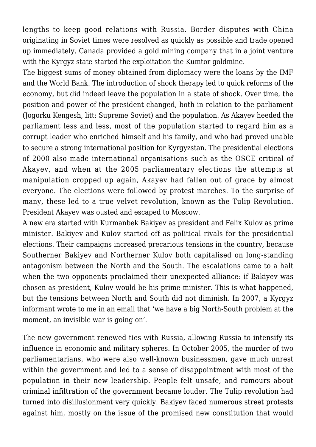lengths to keep good relations with Russia. Border disputes with China originating in Soviet times were resolved as quickly as possible and trade opened up immediately. Canada provided a gold mining company that in a joint venture with the Kyrgyz state started the exploitation the Kumtor goldmine.

The biggest sums of money obtained from diplomacy were the loans by the IMF and the World Bank. The introduction of shock therapy led to quick reforms of the economy, but did indeed leave the population in a state of shock. Over time, the position and power of the president changed, both in relation to the parliament (Jogorku Kengesh, litt: Supreme Soviet) and the population. As Akayev heeded the parliament less and less, most of the population started to regard him as a corrupt leader who enriched himself and his family, and who had proved unable to secure a strong international position for Kyrgyzstan. The presidential elections of 2000 also made international organisations such as the OSCE critical of Akayev, and when at the 2005 parliamentary elections the attempts at manipulation cropped up again, Akayev had fallen out of grace by almost everyone. The elections were followed by protest marches. To the surprise of many, these led to a true velvet revolution, known as the Tulip Revolution. President Akayev was ousted and escaped to Moscow.

A new era started with Kurmanbek Bakiyev as president and Felix Kulov as prime minister. Bakiyev and Kulov started off as political rivals for the presidential elections. Their campaigns increased precarious tensions in the country, because Southerner Bakiyev and Northerner Kulov both capitalised on long-standing antagonism between the North and the South. The escalations came to a halt when the two opponents proclaimed their unexpected alliance: if Bakiyev was chosen as president, Kulov would be his prime minister. This is what happened, but the tensions between North and South did not diminish. In 2007, a Kyrgyz informant wrote to me in an email that 'we have a big North-South problem at the moment, an invisible war is going on'.

The new government renewed ties with Russia, allowing Russia to intensify its influence in economic and military spheres. In October 2005, the murder of two parliamentarians, who were also well-known businessmen, gave much unrest within the government and led to a sense of disappointment with most of the population in their new leadership. People felt unsafe, and rumours about criminal infiltration of the government became louder. The Tulip revolution had turned into disillusionment very quickly. Bakiyev faced numerous street protests against him, mostly on the issue of the promised new constitution that would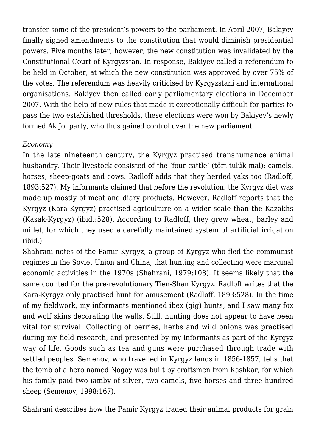transfer some of the president's powers to the parliament. In April 2007, Bakiyev finally signed amendments to the constitution that would diminish presidential powers. Five months later, however, the new constitution was invalidated by the Constitutional Court of Kyrgyzstan. In response, Bakiyev called a referendum to be held in October, at which the new constitution was approved by over 75% of the votes. The referendum was heavily criticised by Kyrgyzstani and international organisations. Bakiyev then called early parliamentary elections in December 2007. With the help of new rules that made it exceptionally difficult for parties to pass the two established thresholds, these elections were won by Bakiyev's newly formed Ak Jol party, who thus gained control over the new parliament.

## *Economy*

In the late nineteenth century, the Kyrgyz practised transhumance animal husbandry. Their livestock consisted of the 'four cattle' (tört tülük mal): camels, horses, sheep-goats and cows. Radloff adds that they herded yaks too (Radloff, 1893:527). My informants claimed that before the revolution, the Kyrgyz diet was made up mostly of meat and diary products. However, Radloff reports that the Kyrgyz (Kara-Kyrgyz) practised agriculture on a wider scale than the Kazakhs (Kasak-Kyrgyz) (ibid.:528). According to Radloff, they grew wheat, barley and millet, for which they used a carefully maintained system of artificial irrigation (ibid.).

Shahrani notes of the Pamir Kyrgyz, a group of Kyrgyz who fled the communist regimes in the Soviet Union and China, that hunting and collecting were marginal economic activities in the 1970s (Shahrani, 1979:108). It seems likely that the same counted for the pre-revolutionary Tien-Shan Kyrgyz. Radloff writes that the Kara-Kyrgyz only practised hunt for amusement (Radloff, 1893:528). In the time of my fieldwork, my informants mentioned ibex (gig) hunts, and I saw many fox and wolf skins decorating the walls. Still, hunting does not appear to have been vital for survival. Collecting of berries, herbs and wild onions was practised during my field research, and presented by my informants as part of the Kyrgyz way of life. Goods such as tea and guns were purchased through trade with settled peoples. Semenov, who travelled in Kyrgyz lands in 1856-1857, tells that the tomb of a hero named Nogay was built by craftsmen from Kashkar, for which his family paid two iamby of silver, two camels, five horses and three hundred sheep (Semenov, 1998:167).

Shahrani describes how the Pamir Kyrgyz traded their animal products for grain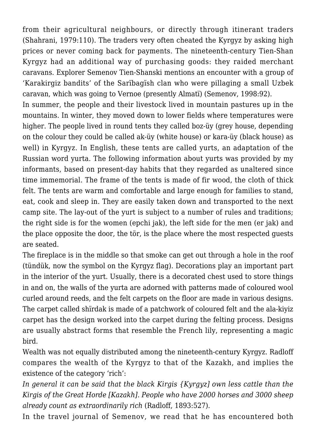from their agricultural neighbours, or directly through itinerant traders (Shahrani, 1979:110). The traders very often cheated the Kyrgyz by asking high prices or never coming back for payments. The nineteenth-century Tien-Shan Kyrgyz had an additional way of purchasing goods: they raided merchant caravans. Explorer Semenov Tien-Shanski mentions an encounter with a group of 'Karakirgiz bandits' of the Sarïbagïsh clan who were pillaging a small Uzbek caravan, which was going to Vernoe (presently Almatï) (Semenov, 1998:92).

In summer, the people and their livestock lived in mountain pastures up in the mountains. In winter, they moved down to lower fields where temperatures were higher. The people lived in round tents they called boz-üy (grey house, depending on the colour they could be called ak-üy (white house) or kara-üy (black house) as well) in Kyrgyz. In English, these tents are called yurts, an adaptation of the Russian word yurta. The following information about yurts was provided by my informants, based on present-day habits that they regarded as unaltered since time immemorial. The frame of the tents is made of fir wood, the cloth of thick felt. The tents are warm and comfortable and large enough for families to stand, eat, cook and sleep in. They are easily taken down and transported to the next camp site. The lay-out of the yurt is subject to a number of rules and traditions; the right side is for the women (epchi jak), the left side for the men (er jak) and the place opposite the door, the tör, is the place where the most respected guests are seated.

The fireplace is in the middle so that smoke can get out through a hole in the roof (tündük, now the symbol on the Kyrgyz flag). Decorations play an important part in the interior of the yurt. Usually, there is a decorated chest used to store things in and on, the walls of the yurta are adorned with patterns made of coloured wool curled around reeds, and the felt carpets on the floor are made in various designs. The carpet called shïrdak is made of a patchwork of coloured felt and the ala-kiyiz carpet has the design worked into the carpet during the felting process. Designs are usually abstract forms that resemble the French lily, representing a magic bird.

Wealth was not equally distributed among the nineteenth-century Kyrgyz. Radloff compares the wealth of the Kyrgyz to that of the Kazakh, and implies the existence of the category 'rich':

*In general it can be said that the black Kirgis {Kyrgyz] own less cattle than the Kirgis of the Great Horde [Kazakh]. People who have 2000 horses and 3000 sheep already count as extraordinarily rich* (Radloff, 1893:527).

In the travel journal of Semenov, we read that he has encountered both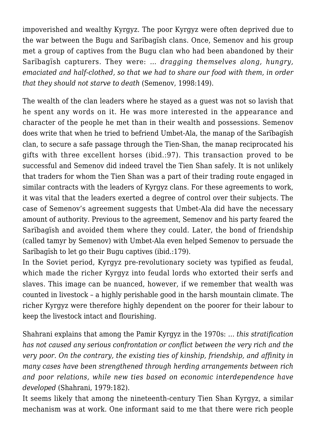impoverished and wealthy Kyrgyz. The poor Kyrgyz were often deprived due to the war between the Bugu and Sarïbagïsh clans. Once, Semenov and his group met a group of captives from the Bugu clan who had been abandoned by their Sarïbagïsh capturers. They were: *… dragging themselves along, hungry, emaciated and half-clothed, so that we had to share our food with them, in order that they should not starve to death* (Semenov, 1998:149).

The wealth of the clan leaders where he stayed as a guest was not so lavish that he spent any words on it. He was more interested in the appearance and character of the people he met than in their wealth and possessions. Semenov does write that when he tried to befriend Umbet-Ala, the manap of the Sarïbagïsh clan, to secure a safe passage through the Tien-Shan, the manap reciprocated his gifts with three excellent horses (ibid.:97). This transaction proved to be successful and Semenov did indeed travel the Tien Shan safely. It is not unlikely that traders for whom the Tien Shan was a part of their trading route engaged in similar contracts with the leaders of Kyrgyz clans. For these agreements to work, it was vital that the leaders exerted a degree of control over their subjects. The case of Semenov's agreement suggests that Umbet-Ala did have the necessary amount of authority. Previous to the agreement, Semenov and his party feared the Sarïbagïsh and avoided them where they could. Later, the bond of friendship (called tamyr by Semenov) with Umbet-Ala even helped Semenov to persuade the Sarïbagïsh to let go their Bugu captives (ibid.:179).

In the Soviet period, Kyrgyz pre-revolutionary society was typified as feudal, which made the richer Kyrgyz into feudal lords who extorted their serfs and slaves. This image can be nuanced, however, if we remember that wealth was counted in livestock – a highly perishable good in the harsh mountain climate. The richer Kyrgyz were therefore highly dependent on the poorer for their labour to keep the livestock intact and flourishing.

Shahrani explains that among the Pamir Kyrgyz in the 1970s: *… this stratification has not caused any serious confrontation or conflict between the very rich and the very poor. On the contrary, the existing ties of kinship, friendship, and affinity in many cases have been strengthened through herding arrangements between rich and poor relations, while new ties based on economic interdependence have developed* (Shahrani, 1979:182).

It seems likely that among the nineteenth-century Tien Shan Kyrgyz, a similar mechanism was at work. One informant said to me that there were rich people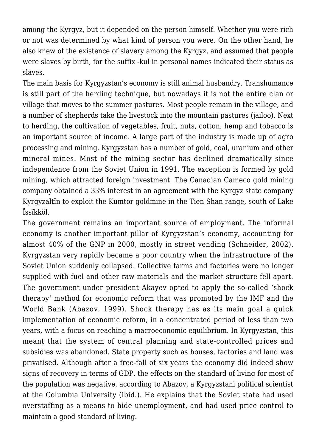among the Kyrgyz, but it depended on the person himself. Whether you were rich or not was determined by what kind of person you were. On the other hand, he also knew of the existence of slavery among the Kyrgyz, and assumed that people were slaves by birth, for the suffix -kul in personal names indicated their status as slaves.

The main basis for Kyrgyzstan's economy is still animal husbandry. Transhumance is still part of the herding technique, but nowadays it is not the entire clan or village that moves to the summer pastures. Most people remain in the village, and a number of shepherds take the livestock into the mountain pastures (jailoo). Next to herding, the cultivation of vegetables, fruit, nuts, cotton, hemp and tobacco is an important source of income. A large part of the industry is made up of agro processing and mining. Kyrgyzstan has a number of gold, coal, uranium and other mineral mines. Most of the mining sector has declined dramatically since independence from the Soviet Union in 1991. The exception is formed by gold mining, which attracted foreign investment. The Canadian Cameco gold mining company obtained a 33% interest in an agreement with the Kyrgyz state company Kyrgyzaltïn to exploit the Kumtor goldmine in the Tien Shan range, south of Lake Ïssïkköl.

The government remains an important source of employment. The informal economy is another important pillar of Kyrgyzstan's economy, accounting for almost 40% of the GNP in 2000, mostly in street vending (Schneider, 2002). Kyrgyzstan very rapidly became a poor country when the infrastructure of the Soviet Union suddenly collapsed. Collective farms and factories were no longer supplied with fuel and other raw materials and the market structure fell apart. The government under president Akayev opted to apply the so-called 'shock therapy' method for economic reform that was promoted by the IMF and the World Bank (Abazov, 1999). Shock therapy has as its main goal a quick implementation of economic reform, in a concentrated period of less than two years, with a focus on reaching a macroeconomic equilibrium. In Kyrgyzstan, this meant that the system of central planning and state-controlled prices and subsidies was abandoned. State property such as houses, factories and land was privatised. Although after a free-fall of six years the economy did indeed show signs of recovery in terms of GDP, the effects on the standard of living for most of the population was negative, according to Abazov, a Kyrgyzstani political scientist at the Columbia University (ibid.). He explains that the Soviet state had used overstaffing as a means to hide unemployment, and had used price control to maintain a good standard of living.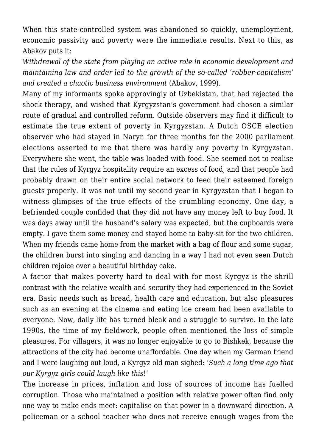When this state-controlled system was abandoned so quickly, unemployment, economic passivity and poverty were the immediate results. Next to this, as Abakov puts it:

*Withdrawal of the state from playing an active role in economic development and maintaining law and order led to the growth of the so-called 'robber-capitalism' and created a chaotic business environment* (Abakov, 1999).

Many of my informants spoke approvingly of Uzbekistan, that had rejected the shock therapy, and wished that Kyrgyzstan's government had chosen a similar route of gradual and controlled reform. Outside observers may find it difficult to estimate the true extent of poverty in Kyrgyzstan. A Dutch OSCE election observer who had stayed in Naryn for three months for the 2000 parliament elections asserted to me that there was hardly any poverty in Kyrgyzstan. Everywhere she went, the table was loaded with food. She seemed not to realise that the rules of Kyrgyz hospitality require an excess of food, and that people had probably drawn on their entire social network to feed their esteemed foreign guests properly. It was not until my second year in Kyrgyzstan that I began to witness glimpses of the true effects of the crumbling economy. One day, a befriended couple confided that they did not have any money left to buy food. It was days away until the husband's salary was expected, but the cupboards were empty. I gave them some money and stayed home to baby-sit for the two children. When my friends came home from the market with a bag of flour and some sugar, the children burst into singing and dancing in a way I had not even seen Dutch children rejoice over a beautiful birthday cake.

A factor that makes poverty hard to deal with for most Kyrgyz is the shrill contrast with the relative wealth and security they had experienced in the Soviet era. Basic needs such as bread, health care and education, but also pleasures such as an evening at the cinema and eating ice cream had been available to everyone. Now, daily life has turned bleak and a struggle to survive. In the late 1990s, the time of my fieldwork, people often mentioned the loss of simple pleasures. For villagers, it was no longer enjoyable to go to Bishkek, because the attractions of the city had become unaffordable. One day when my German friend and I were laughing out loud, a Kyrgyz old man sighed: '*Such a long time ago that our Kyrgyz girls could laugh like this*!'

The increase in prices, inflation and loss of sources of income has fuelled corruption. Those who maintained a position with relative power often find only one way to make ends meet: capitalise on that power in a downward direction. A policeman or a school teacher who does not receive enough wages from the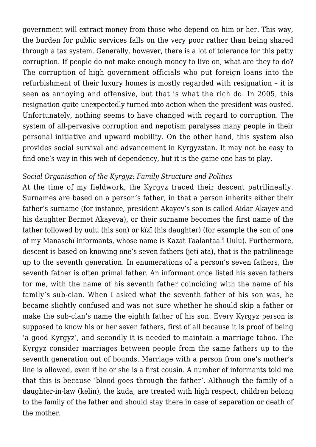government will extract money from those who depend on him or her. This way, the burden for public services falls on the very poor rather than being shared through a tax system. Generally, however, there is a lot of tolerance for this petty corruption. If people do not make enough money to live on, what are they to do? The corruption of high government officials who put foreign loans into the refurbishment of their luxury homes is mostly regarded with resignation – it is seen as annoying and offensive, but that is what the rich do. In 2005, this resignation quite unexpectedly turned into action when the president was ousted. Unfortunately, nothing seems to have changed with regard to corruption. The system of all-pervasive corruption and nepotism paralyses many people in their personal initiative and upward mobility. On the other hand, this system also provides social survival and advancement in Kyrgyzstan. It may not be easy to find one's way in this web of dependency, but it is the game one has to play.

#### *Social Organisation of the Kyrgyz: Family Structure and Politics*

At the time of my fieldwork, the Kyrgyz traced their descent patrilineally. Surnames are based on a person's father, in that a person inherits either their father's surname (for instance, president Akayev's son is called Aidar Akayev and his daughter Bermet Akayeva), or their surname becomes the first name of the father followed by uulu (his son) or kïzï (his daughter) (for example the son of one of my Manaschï informants, whose name is Kazat Taalantaalï Uulu). Furthermore, descent is based on knowing one's seven fathers (jeti ata), that is the patrilineage up to the seventh generation. In enumerations of a person's seven fathers, the seventh father is often primal father. An informant once listed his seven fathers for me, with the name of his seventh father coinciding with the name of his family's sub-clan. When I asked what the seventh father of his son was, he became slightly confused and was not sure whether he should skip a father or make the sub-clan's name the eighth father of his son. Every Kyrgyz person is supposed to know his or her seven fathers, first of all because it is proof of being 'a good Kyrgyz', and secondly it is needed to maintain a marriage taboo. The Kyrgyz consider marriages between people from the same fathers up to the seventh generation out of bounds. Marriage with a person from one's mother's line is allowed, even if he or she is a first cousin. A number of informants told me that this is because 'blood goes through the father'. Although the family of a daughter-in-law (kelin), the kuda, are treated with high respect, children belong to the family of the father and should stay there in case of separation or death of the mother.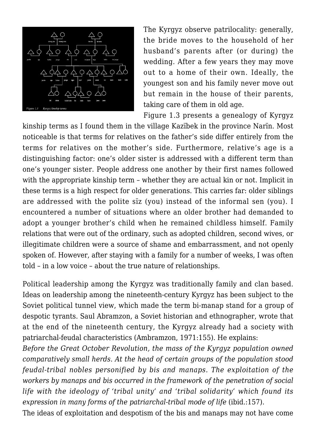

The Kyrgyz observe patrilocality: generally, the bride moves to the household of her husband's parents after (or during) the wedding. After a few years they may move out to a home of their own. Ideally, the youngest son and his family never move out but remain in the house of their parents, taking care of them in old age.

Figure 1.3 presents a genealogy of Kyrgyz

kinship terms as I found them in the village Kazïbek in the province Narïn. Most noticeable is that terms for relatives on the father's side differ entirely from the terms for relatives on the mother's side. Furthermore, relative's age is a distinguishing factor: one's older sister is addressed with a different term than one's younger sister. People address one another by their first names followed with the appropriate kinship term – whether they are actual kin or not. Implicit in these terms is a high respect for older generations. This carries far: older siblings are addressed with the polite sïz (you) instead of the informal sen (you). I encountered a number of situations where an older brother had demanded to adopt a younger brother's child when he remained childless himself. Family relations that were out of the ordinary, such as adopted children, second wives, or illegitimate children were a source of shame and embarrassment, and not openly spoken of. However, after staying with a family for a number of weeks, I was often told – in a low voice – about the true nature of relationships.

Political leadership among the Kyrgyz was traditionally family and clan based. Ideas on leadership among the nineteenth-century Kyrgyz has been subject to the Soviet political tunnel view, which made the term bi-manap stand for a group of despotic tyrants. Saul Abramzon, a Soviet historian and ethnographer, wrote that at the end of the nineteenth century, the Kyrgyz already had a society with patriarchal-feudal characteristics (Ambramzon, 1971:155). He explains:

*Before the Great October Revolution, the mass of the Kyrgyz population owned comparatively small herds. At the head of certain groups of the population stood feudal-tribal nobles personified by bis and manaps. The exploitation of the workers by manaps and bis occurred in the framework of the penetration of social life with the ideology of 'tribal unity' and 'tribal solidarity' which found its expression in many forms of the patriarchal-tribal mode of life (ibid.:157).* 

The ideas of exploitation and despotism of the bis and manaps may not have come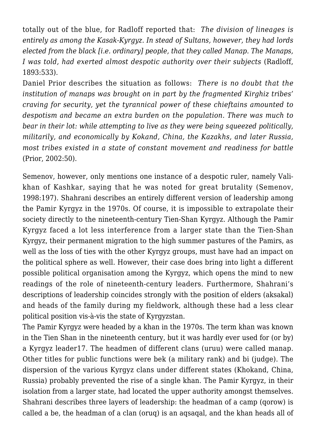totally out of the blue, for Radloff reported that: *The division of lineages is entirely as among the Kasak-Kyrgyz. In stead of Sultans, however, they had lords elected from the black [i.e. ordinary] people, that they called Manap. The Manaps, I was told, had exerted almost despotic authority over their subjects* (Radloff, 1893:533).

Daniel Prior describes the situation as follows: *There is no doubt that the institution of manaps was brought on in part by the fragmented Kirghiz tribes' craving for security, yet the tyrannical power of these chieftains amounted to despotism and became an extra burden on the population. There was much to bear in their lot: while attempting to live as they were being squeezed politically, militarily, and economically by Kokand, China, the Kazakhs, and later Russia, most tribes existed in a state of constant movement and readiness for battle* (Prior, 2002:50).

Semenov, however, only mentions one instance of a despotic ruler, namely Valikhan of Kashkar, saying that he was noted for great brutality (Semenov, 1998:197). Shahrani describes an entirely different version of leadership among the Pamir Kyrgyz in the 1970s. Of course, it is impossible to extrapolate their society directly to the nineteenth-century Tien-Shan Kyrgyz. Although the Pamir Kyrgyz faced a lot less interference from a larger state than the Tien-Shan Kyrgyz, their permanent migration to the high summer pastures of the Pamirs, as well as the loss of ties with the other Kyrgyz groups, must have had an impact on the political sphere as well. However, their case does bring into light a different possible political organisation among the Kyrgyz, which opens the mind to new readings of the role of nineteenth-century leaders. Furthermore, Shahrani's descriptions of leadership coincides strongly with the position of elders (aksakal) and heads of the family during my fieldwork, although these had a less clear political position vis-à-vis the state of Kyrgyzstan.

The Pamir Kyrgyz were headed by a khan in the 1970s. The term khan was known in the Tien Shan in the nineteenth century, but it was hardly ever used for (or by) a Kyrgyz leader17. The headmen of different clans (uruu) were called manap. Other titles for public functions were bek (a military rank) and bi (judge). The dispersion of the various Kyrgyz clans under different states (Khokand, China, Russia) probably prevented the rise of a single khan. The Pamir Kyrgyz, in their isolation from a larger state, had located the upper authority amongst themselves. Shahrani describes three layers of leadership: the headman of a camp (qorow) is called a be, the headman of a clan (oruq) is an aqsaqal, and the khan heads all of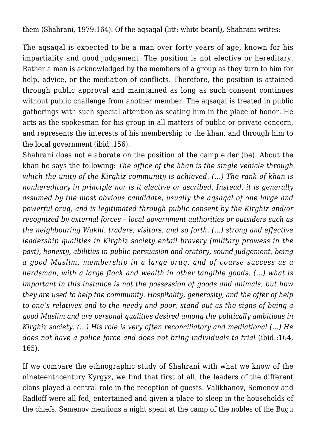them (Shahrani, 1979:164). Of the aqsaqal (litt: white beard), Shahrani writes:

The aqsaqal is expected to be a man over forty years of age, known for his impartiality and good judgement. The position is not elective or hereditary. Rather a man is acknowledged by the members of a group as they turn to him for help, advice, or the mediation of conflicts. Therefore, the position is attained through public approval and maintained as long as such consent continues without public challenge from another member. The aqsaqal is treated in public gatherings with such special attention as seating him in the place of honor. He acts as the spokesman for his group in all matters of public or private concern, and represents the interests of his membership to the khan, and through him to the local government (ibid.:156).

Shahrani does not elaborate on the position of the camp elder (be). About the khan he says the following: *The office of the khan is the single vehicle through which the unity of the Kirghiz community is achieved. (…) The rank of khan is nonhereditary in principle nor is it elective or ascribed. Instead, it is generally assumed by the most obvious candidate, usually the aqsaqal of one large and powerful oruq, and is legitimated through public consent by the Kirghiz and/or recognized by external forces – local government authorities or outsiders such as the neighbouring Wakhi, traders, visitors, and so forth. (…) strong and effective leadership qualities in Kirghiz society entail bravery (military prowess in the past), honesty, abilities in public persuasion and oratory, sound judgement, being a good Muslim, membership in a large oruq, and of course success as a herdsman, with a large flock and wealth in other tangible goods. (…) what is important in this instance is not the possession of goods and animals, but how they are used to help the community. Hospitality, generosity, and the offer of help to one's relatives and to the needy and poor, stand out as the signs of being a good Muslim and are personal qualities desired among the politically ambitious in Kirghiz society. (…) His role is very often reconciliatory and mediational (…) He does not have a police force and does not bring individuals to trial* (ibid.:164, 165).

If we compare the ethnographic study of Shahrani with what we know of the nineteenthcentury Kyrgyz, we find that first of all, the leaders of the different clans played a central role in the reception of guests. Valikhanov, Semenov and Radloff were all fed, entertained and given a place to sleep in the households of the chiefs. Semenov mentions a night spent at the camp of the nobles of the Bugu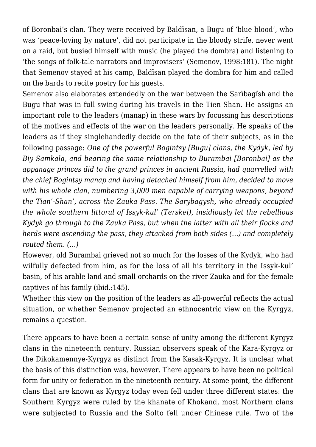of Boronbai's clan. They were received by Baldïsan, a Bugu of 'blue blood', who was 'peace-loving by nature', did not participate in the bloody strife, never went on a raid, but busied himself with music (he played the dombra) and listening to 'the songs of folk-tale narrators and improvisers' (Semenov, 1998:181). The night that Semenov stayed at his camp, Baldïsan played the dombra for him and called on the bards to recite poetry for his guests.

Semenov also elaborates extendedly on the war between the Sarïbagïsh and the Bugu that was in full swing during his travels in the Tien Shan. He assigns an important role to the leaders (manap) in these wars by focussing his descriptions of the motives and effects of the war on the leaders personally. He speaks of the leaders as if they singlehandedly decide on the fate of their subjects, as in the following passage: *One of the powerful Bogintsy [Bugu] clans, the Kydyk, led by Biy Samkala, and bearing the same relationship to Burambai [Boronbai] as the appanage princes did to the grand princes in ancient Russia, had quarrelled with the chief Bogintsy manap and having detached himself from him, decided to move with his whole clan, numbering 3,000 men capable of carrying weapons, beyond the Tian'-Shan', across the Zauka Pass. The Sarybagysh, who already occupied the whole southern littoral of Issyk-kul' (Terskei), insidiously let the rebellious Kydyk go through to the Zauka Pass, but when the latter with all their flocks and herds were ascending the pass, they attacked from both sides (…) and completely routed them. (…)*

However, old Burambai grieved not so much for the losses of the Kydyk, who had wilfully defected from him, as for the loss of all his territory in the Issyk-kul' basin, of his arable land and small orchards on the river Zauka and for the female captives of his family (ibid.:145).

Whether this view on the position of the leaders as all-powerful reflects the actual situation, or whether Semenov projected an ethnocentric view on the Kyrgyz, remains a question.

There appears to have been a certain sense of unity among the different Kyrgyz clans in the nineteenth century. Russian observers speak of the Kara-Kyrgyz or the Dikokamennye-Kyrgyz as distinct from the Kasak-Kyrgyz. It is unclear what the basis of this distinction was, however. There appears to have been no political form for unity or federation in the nineteenth century. At some point, the different clans that are known as Kyrgyz today even fell under three different states: the Southern Kyrgyz were ruled by the khanate of Khokand, most Northern clans were subjected to Russia and the Solto fell under Chinese rule. Two of the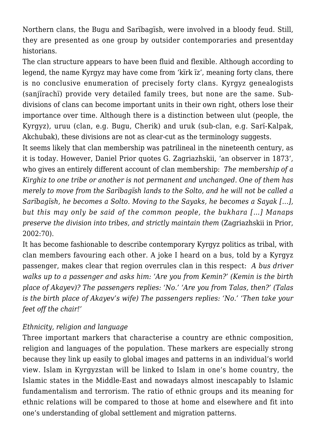Northern clans, the Bugu and Sarïbagïsh, were involved in a bloody feud. Still, they are presented as one group by outsider contemporaries and presentday historians.

The clan structure appears to have been fluid and flexible. Although according to legend, the name Kyrgyz may have come from 'kïrk ïz', meaning forty clans, there is no conclusive enumeration of precisely forty clans. Kyrgyz genealogists (sanjïrachï) provide very detailed family trees, but none are the same. Subdivisions of clans can become important units in their own right, others lose their importance over time. Although there is a distinction between ulut (people, the Kyrgyz), uruu (clan, e.g. Bugu, Cherik) and uruk (sub-clan, e.g. Sarï-Kalpak, Akchubak), these divisions are not as clear-cut as the terminology suggests.

It seems likely that clan membership was patrilineal in the nineteenth century, as it is today. However, Daniel Prior quotes G. Zagriazhskii, 'an observer in 1873', who gives an entirely different account of clan membership: *The membership of a Kirghiz to one tribe or another is not permanent and unchanged. One of them has merely to move from the Sarïbagïsh lands to the Solto, and he will not be called a Sarïbagïsh, he becomes a Solto. Moving to the Sayaks, he becomes a Sayak […], but this may only be said of the common people, the bukhara […] Manaps preserve the division into tribes, and strictly maintain them* (Zagriazhskii in Prior, 2002:70).

It has become fashionable to describe contemporary Kyrgyz politics as tribal, with clan members favouring each other. A joke I heard on a bus, told by a Kyrgyz passenger, makes clear that region overrules clan in this respect: *A bus driver walks up to a passenger and asks him: 'Are you from Kemin?' (Kemin is the birth place of Akayev)? The passengers replies: 'No.' 'Are you from Talas, then?' (Talas is the birth place of Akayev's wife) The passengers replies: 'No.' 'Then take your feet off the chair!'*

#### *Ethnicity, religion and language*

Three important markers that characterise a country are ethnic composition, religion and languages of the population. These markers are especially strong because they link up easily to global images and patterns in an individual's world view. Islam in Kyrgyzstan will be linked to Islam in one's home country, the Islamic states in the Middle-East and nowadays almost inescapably to Islamic fundamentalism and terrorism. The ratio of ethnic groups and its meaning for ethnic relations will be compared to those at home and elsewhere and fit into one's understanding of global settlement and migration patterns.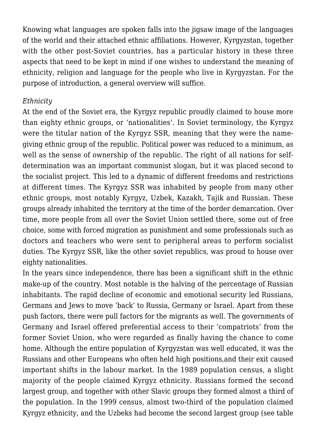Knowing what languages are spoken falls into the jigsaw image of the languages of the world and their attached ethnic affiliations. However, Kyrgyzstan, together with the other post-Soviet countries, has a particular history in these three aspects that need to be kept in mind if one wishes to understand the meaning of ethnicity, religion and language for the people who live in Kyrgyzstan. For the purpose of introduction, a general overview will suffice.

### *Ethnicity*

At the end of the Soviet era, the Kyrgyz republic proudly claimed to house more than eighty ethnic groups, or 'nationalities'. In Soviet terminology, the Kyrgyz were the titular nation of the Kyrgyz SSR, meaning that they were the namegiving ethnic group of the republic. Political power was reduced to a minimum, as well as the sense of ownership of the republic. The right of all nations for selfdetermination was an important communist slogan, but it was placed second to the socialist project. This led to a dynamic of different freedoms and restrictions at different times. The Kyrgyz SSR was inhabited by people from many other ethnic groups, most notably Kyrgyz, Uzbek, Kazakh, Tajik and Russian. These groups already inhabited the territory at the time of the border demarcation. Over time, more people from all over the Soviet Union settled there, some out of free choice, some with forced migration as punishment and some professionals such as doctors and teachers who were sent to peripheral areas to perform socialist duties. The Kyrgyz SSR, like the other soviet republics, was proud to house over eighty nationalities.

In the years since independence, there has been a significant shift in the ethnic make-up of the country. Most notable is the halving of the percentage of Russian inhabitants. The rapid decline of economic and emotional security led Russians, Germans and Jews to move 'back' to Russia, Germany or Israel. Apart from these push factors, there were pull factors for the migrants as well. The governments of Germany and Israel offered preferential access to their 'compatriots' from the former Soviet Union, who were regarded as finally having the chance to come home. Although the entire population of Kyrgyzstan was well educated, it was the Russians and other Europeans who often held high positions,and their exit caused important shifts in the labour market. In the 1989 population census, a slight majority of the people claimed Kyrgyz ethnicity. Russians formed the second largest group, and together with other Slavic groups they formed almost a third of the population. In the 1999 census, almost two-third of the population claimed Kyrgyz ethnicity, and the Uzbeks had become the second largest group (see table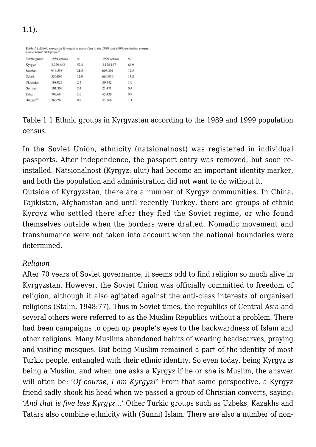# 1.1).

| Table 1.1 Ethnic groups in Kyrgyzstan according to the 1989 and 1999 population census.<br>Source: UNDP LIFE project <sup>22</sup> |  |
|------------------------------------------------------------------------------------------------------------------------------------|--|
|                                                                                                                                    |  |

| Ethnic group            | 1989 census | %    | 1999 census | %    |
|-------------------------|-------------|------|-------------|------|
| Kyrgyz                  | 2.229.663   | 52.4 | 3.128.147   | 64.9 |
| Russian                 | 916,558     | 21.5 | 603.201     | 12.5 |
| Uzbek                   | 550,096     | 12.9 | 664.950     | 13.8 |
| Ukrainian               | 108,027     | 2.5  | 50,442      | 1.0  |
| German                  | 101.309     | 2.4  | 21.471      | 0.4  |
| Tatar                   | 70,068      | 1.6  | 45,438      | 0.9  |
| $D$ ungan <sup>21</sup> | 36,928      | 0.9  | 51.766      | 1.1  |

Table 1.1 Ethnic groups in Kyrgyzstan according to the 1989 and 1999 population census.

In the Soviet Union, ethnicity (natsionalnost) was registered in individual passports. After independence, the passport entry was removed, but soon reinstalled. Natsionalnost (Kyrgyz: ulut) had become an important identity marker, and both the population and administration did not want to do without it.

Outside of Kyrgyzstan, there are a number of Kyrgyz communities. In China, Tajikistan, Afghanistan and until recently Turkey, there are groups of ethnic Kyrgyz who settled there after they fled the Soviet regime, or who found themselves outside when the borders were drafted. Nomadic movement and transhumance were not taken into account when the national boundaries were determined.

#### *Religion*

After 70 years of Soviet governance, it seems odd to find religion so much alive in Kyrgyzstan. However, the Soviet Union was officially committed to freedom of religion, although it also agitated against the anti-class interests of organised religions (Stalin, 1948:77). Thus in Soviet times, the republics of Central Asia and several others were referred to as the Muslim Republics without a problem. There had been campaigns to open up people's eyes to the backwardness of Islam and other religions. Many Muslims abandoned habits of wearing headscarves, praying and visiting mosques. But being Muslim remained a part of the identity of most Turkic people, entangled with their ethnic identity. So even today, being Kyrgyz is being a Muslim, and when one asks a Kyrgyz if he or she is Muslim, the answer will often be: *'Of course, I am Kyrgyz!'* From that same perspective, a Kyrgyz friend sadly shook his head when we passed a group of Christian converts, saying: *'And that is five less Kyrgyz…'* Other Turkic groups such as Uzbeks, Kazakhs and Tatars also combine ethnicity with (Sunni) Islam. There are also a number of non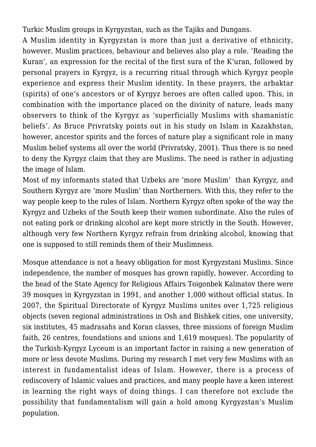Turkic Muslim groups in Kyrgyzstan, such as the Tajiks and Dungans.

A Muslim identity in Kyrgyzstan is more than just a derivative of ethnicity, however. Muslim practices, behaviour and believes also play a role. 'Reading the Kuran', an expression for the recital of the first sura of the K'uran, followed by personal prayers in Kyrgyz, is a recurring ritual through which Kyrgyz people experience and express their Muslim identity. In these prayers, the arbaktar (spirits) of one's ancestors or of Kyrgyz heroes are often called upon. This, in combination with the importance placed on the divinity of nature, leads many observers to think of the Kyrgyz as 'superficially Muslims with shamanistic beliefs'. As Bruce Privratsky points out in his study on Islam in Kazakhstan, however, ancestor spirits and the forces of nature play a significant role in many Muslim belief systems all over the world (Privratsky, 2001). Thus there is no need to deny the Kyrgyz claim that they are Muslims. The need is rather in adjusting the image of Islam.

Most of my informants stated that Uzbeks are 'more Muslim' than Kyrgyz, and Southern Kyrgyz are 'more Muslim' than Northerners. With this, they refer to the way people keep to the rules of Islam. Northern Kyrgyz often spoke of the way the Kyrgyz and Uzbeks of the South keep their women subordinate. Also the rules of not eating pork or drinking alcohol are kept more strictly in the South. However, although very few Northern Kyrgyz refrain from drinking alcohol, knowing that one is supposed to still reminds them of their Muslimness.

Mosque attendance is not a heavy obligation for most Kyrgyzstani Muslims. Since independence, the number of mosques has grown rapidly, however. According to the head of the State Agency for Religious Affairs Toigonbek Kalmatov there were 39 mosques in Kyrgyzstan in 1991, and another 1,000 without official status. In 2007, the Spiritual Directorate of Kyrgyz Muslims unites over 1,725 religious objects (seven regional administrations in Osh and Bishkek cities, one university, six institutes, 45 madrasahs and Koran classes, three missions of foreign Muslim faith, 26 centres, foundations and unions and 1,619 mosques). The popularity of the Turkish-Kyrgyz Lyceum is an important factor in raising a new generation of more or less devote Muslims. During my research I met very few Muslims with an interest in fundamentalist ideas of Islam. However, there is a process of rediscovery of Islamic values and practices, and many people have a keen interest in learning the right ways of doing things. I can therefore not exclude the possibility that fundamentalism will gain a hold among Kyrgyzstan's Muslim population.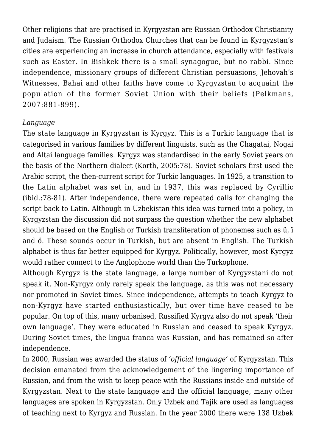Other religions that are practised in Kyrgyzstan are Russian Orthodox Christianity and Judaism. The Russian Orthodox Churches that can be found in Kyrgyzstan's cities are experiencing an increase in church attendance, especially with festivals such as Easter. In Bishkek there is a small synagogue, but no rabbi. Since independence, missionary groups of different Christian persuasions, Jehovah's Witnesses, Bahai and other faiths have come to Kyrgyzstan to acquaint the population of the former Soviet Union with their beliefs (Pelkmans, 2007:881-899).

#### *Language*

The state language in Kyrgyzstan is Kyrgyz. This is a Turkic language that is categorised in various families by different linguists, such as the Chagatai, Nogai and Altai language families. Kyrgyz was standardised in the early Soviet years on the basis of the Northern dialect (Korth, 2005:78). Soviet scholars first used the Arabic script, the then-current script for Turkic languages. In 1925, a transition to the Latin alphabet was set in, and in 1937, this was replaced by Cyrillic (ibid.:78-81). After independence, there were repeated calls for changing the script back to Latin. Although in Uzbekistan this idea was turned into a policy, in Kyrgyzstan the discussion did not surpass the question whether the new alphabet should be based on the English or Turkish transliteration of phonemes such as ü, ï and ö. These sounds occur in Turkish, but are absent in English. The Turkish alphabet is thus far better equipped for Kyrgyz. Politically, however, most Kyrgyz would rather connect to the Anglophone world than the Turkophone.

Although Kyrgyz is the state language, a large number of Kyrgyzstani do not speak it. Non-Kyrgyz only rarely speak the language, as this was not necessary nor promoted in Soviet times. Since independence, attempts to teach Kyrgyz to non-Kyrgyz have started enthusiastically, but over time have ceased to be popular. On top of this, many urbanised, Russified Kyrgyz also do not speak 'their own language'. They were educated in Russian and ceased to speak Kyrgyz. During Soviet times, the lingua franca was Russian, and has remained so after independence.

In 2000, Russian was awarded the status of *'official language'* of Kyrgyzstan. This decision emanated from the acknowledgement of the lingering importance of Russian, and from the wish to keep peace with the Russians inside and outside of Kyrgyzstan. Next to the state language and the official language, many other languages are spoken in Kyrgyzstan. Only Uzbek and Tajik are used as languages of teaching next to Kyrgyz and Russian. In the year 2000 there were 138 Uzbek